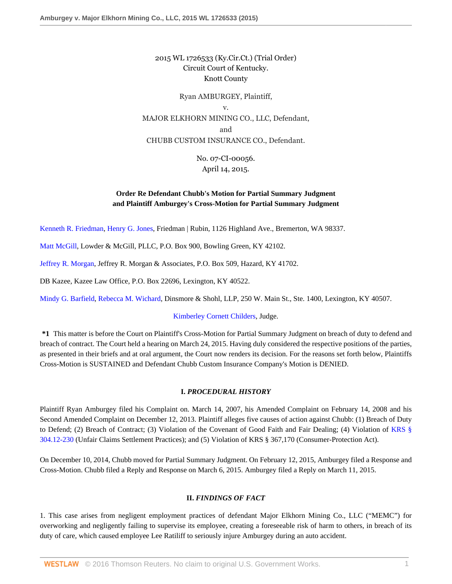## 2015 WL 1726533 (Ky.Cir.Ct.) (Trial Order) Circuit Court of Kentucky. Knott County

Ryan AMBURGEY, Plaintiff, v. MAJOR ELKHORN MINING CO., LLC, Defendant, and CHUBB CUSTOM INSURANCE CO., Defendant.

> No. 07-CI-00056. April 14, 2015.

## **Order Re Defendant Chubb's Motion for Partial Summary Judgment and Plaintiff Amburgey's Cross-Motion for Partial Summary Judgment**

[Kenneth R. Friedman](http://www.westlaw.com/Link/Document/FullText?findType=h&pubNum=176284&cite=0281891601&originatingDoc=I000708f0e45d11e4815bfad867ab3d62&refType=RQ&originationContext=document&vr=3.0&rs=cblt1.0&transitionType=DocumentItem&contextData=(sc.Keycite)), [Henry G. Jones](http://www.westlaw.com/Link/Document/FullText?findType=h&pubNum=176284&cite=0420713401&originatingDoc=I000708f0e45d11e4815bfad867ab3d62&refType=RQ&originationContext=document&vr=3.0&rs=cblt1.0&transitionType=DocumentItem&contextData=(sc.Keycite)), Friedman | Rubin, 1126 Highland Ave., Bremerton, WA 98337.

[Matt McGill](http://www.westlaw.com/Link/Document/FullText?findType=h&pubNum=176284&cite=0364802201&originatingDoc=I000708f0e45d11e4815bfad867ab3d62&refType=RQ&originationContext=document&vr=3.0&rs=cblt1.0&transitionType=DocumentItem&contextData=(sc.Keycite)), Lowder & McGill, PLLC, P.O. Box 900, Bowling Green, KY 42102.

[Jeffrey R. Morgan,](http://www.westlaw.com/Link/Document/FullText?findType=h&pubNum=176284&cite=0362523601&originatingDoc=I000708f0e45d11e4815bfad867ab3d62&refType=RQ&originationContext=document&vr=3.0&rs=cblt1.0&transitionType=DocumentItem&contextData=(sc.Keycite)) Jeffrey R. Morgan & Associates, P.O. Box 509, Hazard, KY 41702.

DB Kazee, Kazee Law Office, P.O. Box 22696, Lexington, KY 40522.

[Mindy G. Barfield](http://www.westlaw.com/Link/Document/FullText?findType=h&pubNum=176284&cite=0330347301&originatingDoc=I000708f0e45d11e4815bfad867ab3d62&refType=RQ&originationContext=document&vr=3.0&rs=cblt1.0&transitionType=DocumentItem&contextData=(sc.Keycite)), [Rebecca M. Wichard,](http://www.westlaw.com/Link/Document/FullText?findType=h&pubNum=176284&cite=0485021101&originatingDoc=I000708f0e45d11e4815bfad867ab3d62&refType=RQ&originationContext=document&vr=3.0&rs=cblt1.0&transitionType=DocumentItem&contextData=(sc.Keycite)) Dinsmore & Shohl, LLP, 250 W. Main St., Ste. 1400, Lexington, KY 40507.

### [Kimberley Cornett Childers](http://www.westlaw.com/Link/Document/FullText?findType=h&pubNum=176284&cite=0302361202&originatingDoc=I000708f0e45d11e4815bfad867ab3d62&refType=RQ&originationContext=document&vr=3.0&rs=cblt1.0&transitionType=DocumentItem&contextData=(sc.Keycite)), Judge.

**\*1** This matter is before the Court on Plaintiff's Cross-Motion for Partial Summary Judgment on breach of duty to defend and breach of contract. The Court held a hearing on March 24, 2015. Having duly considered the respective positions of the parties, as presented in their briefs and at oral argument, the Court now renders its decision. For the reasons set forth below, Plaintiffs Cross-Motion is SUSTAINED and Defendant Chubb Custom Insurance Company's Motion is DENIED.

### **I.** *PROCEDURAL HISTORY*

Plaintiff Ryan Amburgey filed his Complaint on. March 14, 2007, his Amended Complaint on February 14, 2008 and his Second Amended Complaint on December 12, 2013. Plaintiff alleges five causes of action against Chubb: (1) Breach of Duty to Defend; (2) Breach of Contract; (3) Violation of the Covenant of Good Faith and Fair Dealing; (4) Violation of [KRS §](http://www.westlaw.com/Link/Document/FullText?findType=L&pubNum=1000010&cite=KYSTS304.12-230&originatingDoc=I000708f0e45d11e4815bfad867ab3d62&refType=LQ&originationContext=document&vr=3.0&rs=cblt1.0&transitionType=DocumentItem&contextData=(sc.Keycite)) [304.12-230](http://www.westlaw.com/Link/Document/FullText?findType=L&pubNum=1000010&cite=KYSTS304.12-230&originatingDoc=I000708f0e45d11e4815bfad867ab3d62&refType=LQ&originationContext=document&vr=3.0&rs=cblt1.0&transitionType=DocumentItem&contextData=(sc.Keycite)) (Unfair Claims Settlement Practices); and (5) Violation of KRS § 367,170 (Consumer-Protection Act).

On December 10, 2014, Chubb moved for Partial Summary Judgment. On February 12, 2015, Amburgey filed a Response and Cross-Motion. Chubb filed a Reply and Response on March 6, 2015. Amburgey filed a Reply on March 11, 2015.

### **II.** *FINDINGS OF FACT*

1. This case arises from negligent employment practices of defendant Major Elkhorn Mining Co., LLC ("MEMC") for overworking and negligently failing to supervise its employee, creating a foreseeable risk of harm to others, in breach of its duty of care, which caused employee Lee Ratiliff to seriously injure Amburgey during an auto accident.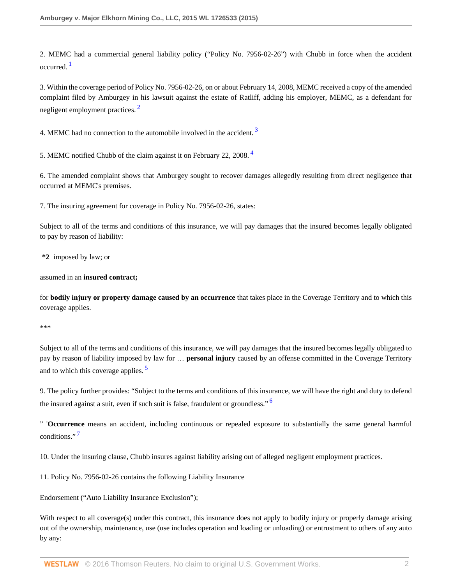<span id="page-1-0"></span>2. MEMC had a commercial general liability policy ("Policy No. 7956-02-26") with Chubb in force when the accident occurred. [1](#page-7-0)

<span id="page-1-1"></span>3. Within the coverage period of Policy No. 7956-02-26, on or about February 14, 2008, MEMC received a copy of the amended complaint filed by Amburgey in his lawsuit against the estate of Ratliff, adding his employer, MEMC, as a defendant for negligent employment practices. [2](#page-7-1)

<span id="page-1-2"></span>4. MEMC had no connection to the automobile involved in the accident.<sup>[3](#page-7-2)</sup>

<span id="page-1-3"></span>5. MEMC notified Chubb of the claim against it on February 22, 2008.<sup>[4](#page-7-3)</sup>

6. The amended complaint shows that Amburgey sought to recover damages allegedly resulting from direct negligence that occurred at MEMC's premises.

7. The insuring agreement for coverage in Policy No. 7956-02-26, states:

Subject to all of the terms and conditions of this insurance, we will pay damages that the insured becomes legally obligated to pay by reason of liability:

**\*2** imposed by law; or

assumed in an **insured contract;**

for **bodily injury or property damage caused by an occurrence** that takes place in the Coverage Territory and to which this coverage applies.

\*\*\*

<span id="page-1-4"></span>Subject to all of the terms and conditions of this insurance, we will pay damages that the insured becomes legally obligated to pay by reason of liability imposed by law for … **personal injury** caused by an offense committed in the Coverage Territory and to which this coverage applies.<sup>[5](#page-7-4)</sup>

<span id="page-1-5"></span>9. The policy further provides: "Subject to the terms and conditions of this insurance, we will have the right and duty to defend the insured against a suit, even if such suit is false, fraudulent or groundless." $\frac{6}{10}$  $\frac{6}{10}$  $\frac{6}{10}$ 

<span id="page-1-6"></span>" '**Occurrence** means an accident, including continuous or repealed exposure to substantially the same general harmful conditions."<sup>[7](#page-7-6)</sup>

10. Under the insuring clause, Chubb insures against liability arising out of alleged negligent employment practices.

11. Policy No. 7956-02-26 contains the following Liability Insurance

Endorsement ("Auto Liability Insurance Exclusion");

With respect to all coverage(s) under this contract, this insurance does not apply to bodily injury or properly damage arising out of the ownership, maintenance, use (use includes operation and loading or unloading) or entrustment to others of any auto by any: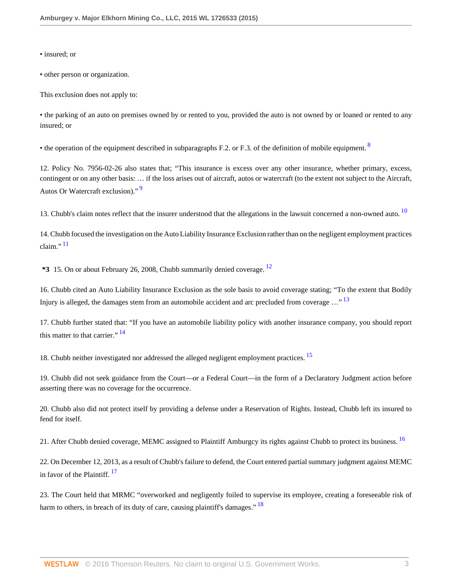- insured; or
- other person or organization.
- This exclusion does not apply to:

• the parking of an auto on premises owned by or rented to you, provided the auto is not owned by or loaned or rented to any insured; or

<span id="page-2-0"></span>• the operation of the equipment described in subparagraphs F.2. or F.3. of the definition of mobile equipment.  $8$ 

<span id="page-2-1"></span>12. Policy No. 7956-02-26 also states that; "This insurance is excess over any other insurance, whether primary, excess, contingent or on any other basis: … if the loss arises out of aircraft, autos or watercraft (to the extent not subject to the Aircraft, Autos Or Watercraft exclusion)." [9](#page-7-8)

<span id="page-2-2"></span>13. Chubb's claim notes reflect that the insurer understood that the allegations in the lawsuit concerned a non-owned auto.  $10$ 

<span id="page-2-3"></span>14. Chubb focused the investigation on the Auto Liability Insurance Exclusion rather than on the negligent employment practices claim." $\frac{11}{11}$  $\frac{11}{11}$  $\frac{11}{11}$ 

<span id="page-2-5"></span><span id="page-2-4"></span>**\*3** 15. On or about February 26, 2008, Chubb summarily denied coverage. [12](#page-7-11)

16. Chubb cited an Auto Liability Insurance Exclusion as the sole basis to avoid coverage stating; "To the extent that Bodily Injury is alleged, the damages stem from an automobile accident and arc precluded from coverage ..."<sup>[13](#page-7-12)</sup>

<span id="page-2-6"></span>17. Chubb further stated that: "If you have an automobile liability policy with another insurance company, you should report this matter to that carrier."  $14$ 

<span id="page-2-7"></span>18. Chubb neither investigated nor addressed the alleged negligent employment practices. <sup>[15](#page-7-14)</sup>

19. Chubb did not seek guidance from the Court—or a Federal Court—in the form of a Declaratory Judgment action before asserting there was no coverage for the occurrence.

20. Chubb also did not protect itself by providing a defense under a Reservation of Rights. Instead, Chubb left its insured to fend for itself.

<span id="page-2-8"></span>21. After Chubb denied coverage, MEMC assigned to Plaintiff Amburgcy its rights against Chubb to protect its business. <sup>[16](#page-7-15)</sup>

<span id="page-2-9"></span>22. On December 12, 2013, as a result of Chubb's failure to defend, the Court entered partial summary judgment against MEMC in favor of the Plaintiff. [17](#page-7-16)

<span id="page-2-10"></span>23. The Court held that MRMC "overworked and negligently foiled to supervise its employee, creating a foreseeable risk of harm to others, in breach of its duty of care, causing plaintiff's damages." <sup>[18](#page-7-17)</sup>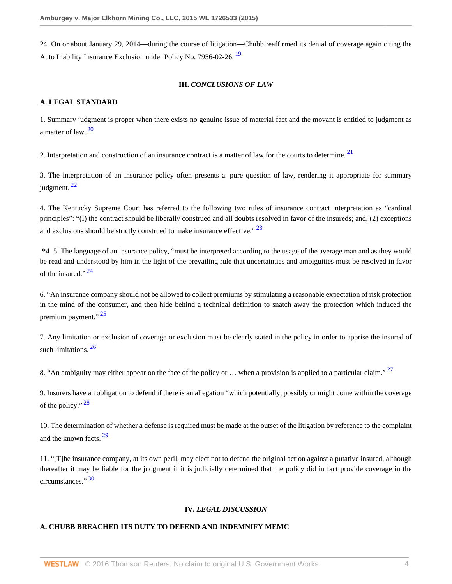24. On or about January 29, 2014—during the course of litigation—Chubb reaffirmed its denial of coverage again citing the Auto Liability Insurance Exclusion under Policy No. 7956-02-26. [19](#page-7-18)

## <span id="page-3-4"></span><span id="page-3-2"></span><span id="page-3-0"></span>**III.** *CONCLUSIONS OF LAW*

### **A. LEGAL STANDARD**

<span id="page-3-1"></span>1. Summary judgment is proper when there exists no genuine issue of material fact and the movant is entitled to judgment as a matter of law.  $20$ 

2. Interpretation and construction of an insurance contract is a matter of law for the courts to determine.<sup>[21](#page-8-0)</sup>

<span id="page-3-3"></span>3. The interpretation of an insurance policy often presents a. pure question of law, rendering it appropriate for summary judgment.  $22$ 

4. The Kentucky Supreme Court has referred to the following two rules of insurance contract interpretation as "cardinal principles": "(I) the contract should be liberally construed and all doubts resolved in favor of the insureds; and, (2) exceptions and exclusions should be strictly construed to make insurance effective." $23$ 

<span id="page-3-5"></span>**\*4** 5. The language of an insurance policy, "must be interpreted according to the usage of the average man and as they would be read and understood by him in the light of the prevailing rule that uncertainties and ambiguities must be resolved in favor of the insured." $24$ 

<span id="page-3-6"></span>6. "An insurance company should not be allowed to collect premiums by stimulating a reasonable expectation of risk protection in the mind of the consumer, and then hide behind a technical definition to snatch away the protection which induced the premium payment." [25](#page-8-4)

<span id="page-3-7"></span>7. Any limitation or exclusion of coverage or exclusion must be clearly stated in the policy in order to apprise the insured of such limitations.  $26$ 

8. "An ambiguity may either appear on the face of the policy or  $\ldots$  when a provision is applied to a particular claim."  $27$ 

<span id="page-3-9"></span>9. Insurers have an obligation to defend if there is an allegation "which potentially, possibly or might come within the coverage of the policy."  $28$ 

<span id="page-3-10"></span>10. The determination of whether a defense is required must be made at the outset of the litigation by reference to the complaint and the known facts. <sup>[29](#page-8-8)</sup>

<span id="page-3-11"></span>11. "[T]he insurance company, at its own peril, may elect not to defend the original action against a putative insured, although thereafter it may be liable for the judgment if it is judicially determined that the policy did in fact provide coverage in the circumstances." [30](#page-8-9)

## <span id="page-3-8"></span>**IV.** *LEGAL DISCUSSION*

## **A. CHUBB BREACHED ITS DUTY TO DEFEND AND INDEMNIFY MEMC**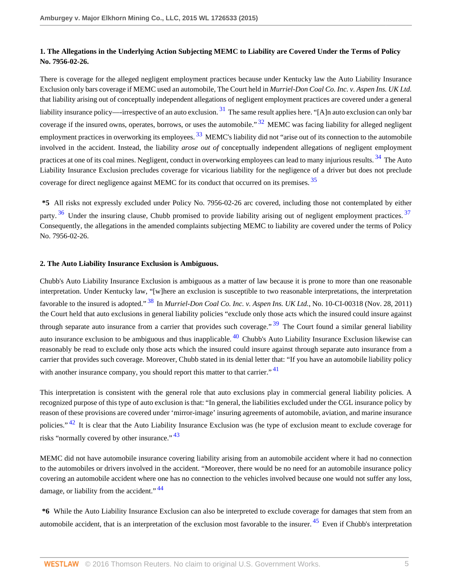## **1. The Allegations in the Underlying Action Subjecting MEMC to Liability are Covered Under the Terms of Policy No. 7956-02-26.**

<span id="page-4-2"></span><span id="page-4-1"></span><span id="page-4-0"></span>There is coverage for the alleged negligent employment practices because under Kentucky law the Auto Liability Insurance Exclusion only bars coverage if MEMC used an automobile, The Court held in *Murriel-Don Coal Co. Inc. v. Aspen Ins. UK Ltd.* that liability arising out of conceptually independent allegations of negligent employment practices are covered under a general liability insurance policy—-irrespective of an auto exclusion.  $31$  The same result applies here. "[A]n auto exclusion can only bar coverage if the insured owns, operates, borrows, or uses the automobile."  $32$  MEMC was facing liability for alleged negligent employment practices in overworking its employees.<sup>[33](#page-8-12)</sup> MEMC's liability did not "arise out of its connection to the automobile involved in the accident. Instead, the liability *arose out of* conceptually independent allegations of negligent employment practices at one of its coal mines. Negligent, conduct in overworking employees can lead to many injurious results. <sup>[34](#page-8-13)</sup> The Auto Liability Insurance Exclusion precludes coverage for vicarious liability for the negligence of a driver but does not preclude coverage for direct negligence against MEMC for its conduct that occurred on its premises.<sup>[35](#page-8-14)</sup>

<span id="page-4-6"></span><span id="page-4-5"></span><span id="page-4-4"></span><span id="page-4-3"></span>**\*5** All risks not expressly excluded under Policy No. 7956-02-26 arc covered, including those not contemplated by either party. <sup>[36](#page-8-15)</sup> Under the insuring clause, Chubb promised to provide liability arising out of negligent employment practices. <sup>[37](#page-8-16)</sup> Consequently, the allegations in the amended complaints subjecting MEMC to liability are covered under the terms of Policy No. 7956-02-26.

## **2. The Auto Liability Insurance Exclusion is Ambiguous.**

<span id="page-4-9"></span><span id="page-4-8"></span><span id="page-4-7"></span>Chubb's Auto Liability Insurance Exclusion is ambiguous as a matter of law because it is prone to more than one reasonable interpretation. Under Kentucky law, "[w]here an exclusion is susceptible to two reasonable interpretations, the interpretation favorable to the insured is adopted." [38](#page-8-17) In *Murriel-Don Coal Co. Inc. v. Aspen Ins. UK Ltd.*, No. 10-CI-00318 (Nov. 28, 2011) the Court held that auto exclusions in general liability policies "exclude only those acts which the insured could insure against through separate auto insurance from a carrier that provides such coverage."  $39$  The Court found a similar general liability auto insurance exclusion to be ambiguous and thus inapplicable. <sup>[40](#page-8-19)</sup> Chubb's Auto Liability Insurance Exclusion likewise can reasonably be read to exclude only those acts which the insured could insure against through separate auto insurance from a carrier that provides such coverage. Moreover, Chubb stated in its denial letter that: "If you have an automobile liability policy with another insurance company, you should report this matter to that carrier."<sup>[41](#page-8-20)</sup>

<span id="page-4-11"></span><span id="page-4-10"></span>This interpretation is consistent with the general role that auto exclusions play in commercial general liability policies. A recognized purpose of this type of auto exclusion is that: "In general, the liabilities excluded under the CGL insurance policy by reason of these provisions are covered under 'mirror-image' insuring agreements of automobile, aviation, and marine insurance policies."<sup>[42](#page-8-21)</sup> It is clear that the Auto Liability Insurance Exclusion was (he type of exclusion meant to exclude coverage for risks "normally covered by other insurance." <sup>[43](#page-8-22)</sup>

<span id="page-4-12"></span>MEMC did not have automobile insurance covering liability arising from an automobile accident where it had no connection to the automobiles or drivers involved in the accident. "Moreover, there would be no need for an automobile insurance policy covering an automobile accident where one has no connection to the vehicles involved because one would not suffer any loss, damage, or liability from the accident."<sup>[44](#page-8-23)</sup>

<span id="page-4-14"></span><span id="page-4-13"></span>**\*6** While the Auto Liability Insurance Exclusion can also be interpreted to exclude coverage for damages that stem from an automobile accident, that is an interpretation of the exclusion most favorable to the insurer. <sup>[45](#page-8-24)</sup> Even if Chubb's interpretation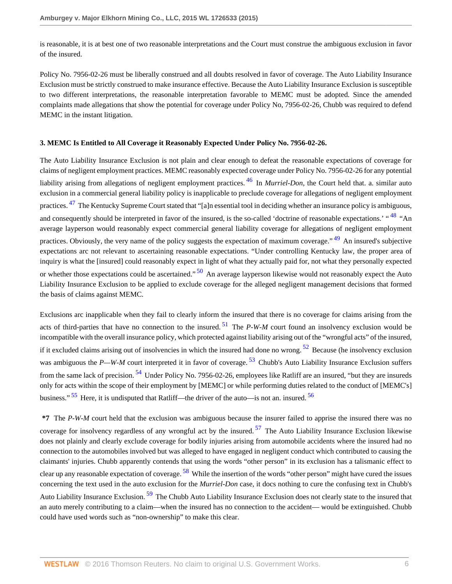is reasonable, it is at best one of two reasonable interpretations and the Court must construe the ambiguous exclusion in favor of the insured.

Policy No. 7956-02-26 must be liberally construed and all doubts resolved in favor of coverage. The Auto Liability Insurance Exclusion must be strictly construed to make insurance effective. Because the Auto Liability Insurance Exclusion is susceptible to two different interpretations, the reasonable interpretation favorable to MEMC must be adopted. Since the amended complaints made allegations that show the potential for coverage under Policy No, 7956-02-26, Chubb was required to defend MEMC in the instant litigation.

### **3. MEMC Is Entitled to All Coverage it Reasonably Expected Under Policy No. 7956-02-26.**

<span id="page-5-3"></span><span id="page-5-2"></span><span id="page-5-1"></span><span id="page-5-0"></span>The Auto Liability Insurance Exclusion is not plain and clear enough to defeat the reasonable expectations of coverage for claims of negligent employment practices. MEMC reasonably expected coverage under Policy No. 7956-02-26 for any potential liability arising from allegations of negligent employment practices. [46](#page-8-25) In *Murriel-Don*, the Court held that. a. similar auto exclusion in a commercial general liability policy is inapplicable to preclude coverage for allegations of negligent employment practices. <sup>[47](#page-8-26)</sup> The Kentucky Supreme Court stated that "[a]n essential tool in deciding whether an insurance policy is ambiguous, and consequently should be interpreted in favor of the insured, is the so-called 'doctrine of reasonable expectations.' "<sup>[48](#page-8-27)</sup> "An average layperson would reasonably expect commercial general liability coverage for allegations of negligent employment practices. Obviously, the very name of the policy suggests the expectation of maximum coverage."<sup>[49](#page-8-28)</sup> An insured's subjective expectations arc not relevant to ascertaining reasonable expectations. "Under controlling Kentucky law, the proper area of inquiry is what the [insured] could reasonably expect in light of what they actually paid for, not what they personally expected or whether those expectations could be ascertained."<sup>[50](#page-8-29)</sup> An average layperson likewise would not reasonably expect the Auto Liability Insurance Exclusion to be applied to exclude coverage for the alleged negligent management decisions that formed the basis of claims against MEMC.

<span id="page-5-7"></span><span id="page-5-6"></span><span id="page-5-5"></span><span id="page-5-4"></span>Exclusions arc inapplicable when they fail to clearly inform the insured that there is no coverage for claims arising from the acts of third-parties that have no connection to the insured.  $51$  The *P-W-M* court found an insolvency exclusion would be incompatible with the overall insurance policy, which protected against liability arising out of the "wrongful acts" of the insured, if it excluded claims arising out of insolvencies in which the insured had done no wrong.<sup>[52](#page-9-1)</sup> Because (he insolvency exclusion was ambiguous the *P—W-M* court interpreted it in favor of coverage.<sup>[53](#page-9-2)</sup> Chubb's Auto Liability Insurance Exclusion suffers from the same lack of precision.<sup>[54](#page-9-3)</sup> Under Policy No. 7956-02-26, employees like Ratliff are an insured, "but they are insureds only for acts within the scope of their employment by [MEMC] or while performing duties related to the conduct of [MEMC's] business."<sup>[55](#page-9-4)</sup> Here, it is undisputed that Ratliff—the driver of the auto—is not an. insured.<sup>[56](#page-9-5)</sup>

<span id="page-5-13"></span><span id="page-5-12"></span><span id="page-5-11"></span><span id="page-5-10"></span><span id="page-5-9"></span><span id="page-5-8"></span>**\*7** The *P-W-M* court held that the exclusion was ambiguous because the insurer failed to apprise the insured there was no coverage for insolvency regardless of any wrongful act by the insured.<sup>[57](#page-9-6)</sup> The Auto Liability Insurance Exclusion likewise does not plainly and clearly exclude coverage for bodily injuries arising from automobile accidents where the insured had no connection to the automobiles involved but was alleged to have engaged in negligent conduct which contributed to causing the claimants' injuries. Chubb apparently contends that using the words "other person" in its exclusion has a talismanic effect to clear up any reasonable expectation of coverage.  $^{58}$  $^{58}$  $^{58}$  While the insertion of the words "other person" might have cured the issues concerning the text used in the auto exclusion for the *Murriel-Don* case, it docs nothing to cure the confusing text in Chubb's Auto Liability Insurance Exclusion.<sup>[59](#page-9-8)</sup> The Chubb Auto Liability Insurance Exclusion does not clearly state to the insured that an auto merely contributing to a claim—when the insured has no connection to the accident— would be extinguished. Chubb could have used words such as "non-ownership" to make this clear.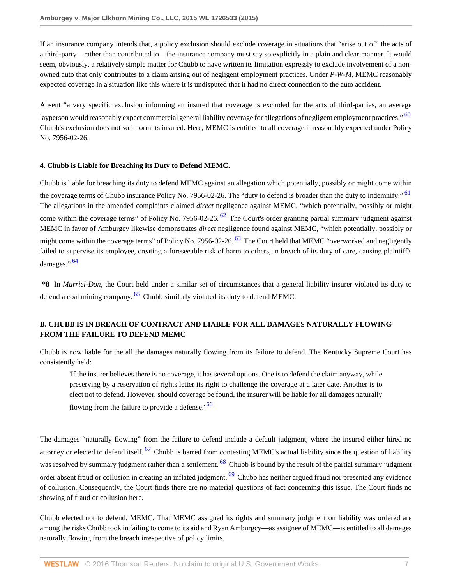If an insurance company intends that, a policy exclusion should exclude coverage in situations that "arise out of" the acts of a third-party—rather than contributed to—the insurance company must say so explicitly in a plain and clear manner. It would seem, obviously, a relatively simple matter for Chubb to have written its limitation expressly to exclude involvement of a nonowned auto that only contributes to a claim arising out of negligent employment practices. Under *P-W-M*, MEMC reasonably expected coverage in a situation like this where it is undisputed that it had no direct connection to the auto accident.

<span id="page-6-0"></span>Absent "a very specific exclusion informing an insured that coverage is excluded for the acts of third-parties, an average layperson would reasonably expect commercial general liability coverage for allegations of negligent employment practices." <sup>[60](#page-9-9)</sup> Chubb's exclusion does not so inform its insured. Here, MEMC is entitled to all coverage it reasonably expected under Policy No. 7956-02-26.

### **4. Chubb is Liable for Breaching its Duty to Defend MEMC.**

<span id="page-6-2"></span><span id="page-6-1"></span>Chubb is liable for breaching its duty to defend MEMC against an allegation which potentially, possibly or might come within the coverage terms of Chubb insurance Policy No. 7956-02-26. The "duty to defend is broader than the duty to indemnify." <sup>[61](#page-9-10)</sup> The allegations in the amended complaints claimed *direct* negligence against MEMC, "which potentially, possibly or might come within the coverage terms" of Policy No. 7956-02-26.  $62$  The Court's order granting partial summary judgment against MEMC in favor of Amburgey likewise demonstrates *direct* negligence found against MEMC, "which potentially, possibly or might come within the coverage terms" of Policy No. 7956-02-26.  $^{63}$  $^{63}$  $^{63}$  The Court held that MEMC "overworked and negligently failed to supervise its employee, creating a foreseeable risk of harm to others, in breach of its duty of care, causing plaintiff's damages." [64](#page-9-13)

<span id="page-6-5"></span><span id="page-6-4"></span><span id="page-6-3"></span>**\*8** In *Murriel-Don*, the Court held under a similar set of circumstances that a general liability insurer violated its duty to defend a coal mining company.  $^{65}$  $^{65}$  $^{65}$  Chubb similarly violated its duty to defend MEMC.

# **B. CHUBB IS IN BREACH OF CONTRACT AND LIABLE FOR ALL DAMAGES NATURALLY FLOWING FROM THE FAILURE TO DEFEND MEMC**

Chubb is now liable for the all the damages naturally flowing from its failure to defend. The Kentucky Supreme Court has consistently held:

<span id="page-6-9"></span><span id="page-6-8"></span><span id="page-6-7"></span><span id="page-6-6"></span>'If the insurer believes there is no coverage, it has several options. One is to defend the claim anyway, while preserving by a reservation of rights letter its right to challenge the coverage at a later date. Another is to elect not to defend. However, should coverage be found, the insurer will be liable for all damages naturally flowing from the failure to provide a defense.<sup>'[66](#page-9-15)</sup>

The damages "naturally flowing" from the failure to defend include a default judgment, where the insured either hired no attorney or elected to defend itself. <sup>[67](#page-9-16)</sup> Chubb is barred from contesting MEMC's actual liability since the question of liability was resolved by summary judgment rather than a settlement. <sup>[68](#page-9-17)</sup> Chubb is bound by the result of the partial summary judgment order absent fraud or collusion in creating an inflated judgment. <sup>[69](#page-9-18)</sup> Chubb has neither argued fraud nor presented any evidence of collusion. Consequently, the Court finds there are no material questions of fact concerning this issue. The Court finds no showing of fraud or collusion here.

Chubb elected not to defend. MEMC. That MEMC assigned its rights and summary judgment on liability was ordered are among the risks Chubb took in failing to come to its aid and Ryan Amburgcy—as assignee of MEMC—is entitled to all damages naturally flowing from the breach irrespective of policy limits.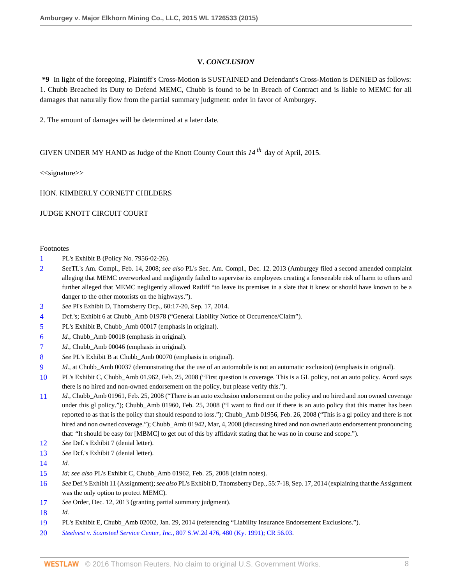### **V.** *CONCLUSION*

**\*9** In light of the foregoing, Plaintiff's Cross-Motion is SUSTAINED and Defendant's Cross-Motion is DENIED as follows: 1. Chubb Breached its Duty to Defend MEMC, Chubb is found to be in Breach of Contract and is liable to MEMC for all damages that naturally flow from the partial summary judgment: order in favor of Amburgey.

2. The amount of damages will be determined at a later date.

GIVEN UNDER MY HAND as Judge of the Knott County Court this *14 th* day of April, 2015.

<<signature>>

HON. KIMBERLY CORNETT CHILDERS

### JUDGE KNOTT CIRCUIT COURT

#### Footnotes

- <span id="page-7-0"></span>[1](#page-1-0) PL's Exhibit B (Policy No. 7956-02-26).
- <span id="page-7-1"></span>[2](#page-1-1) SeeTI.'s Am. Compl., Feb. 14, 2008; *see also* PL's Sec. Am. Compl., Dec. 12. 2013 (Amburgey filed a second amended complaint alleging that MEMC overworked and negligently failed to supervise its employees creating a foreseeable risk of harm to others and further alleged that MEMC negligently allowed Ratliff "to leave its premises in a slate that it knew or should have known to be a danger to the other motorists on the highways.").
- <span id="page-7-2"></span>[3](#page-1-2) *See* Pl's Exhibit D, Thornsberry Dcp., 60:17-20, Sep. 17, 2014.
- <span id="page-7-3"></span>[4](#page-1-3) Dcf.'s; Exhibit 6 at Chubb\_Amb 01978 ("General Liability Notice of Occurrence/Claim").
- <span id="page-7-4"></span>[5](#page-1-4) PL's Exhibit B, Chubb\_Amb 00017 (emphasis in original).
- <span id="page-7-5"></span>[6](#page-1-5) *Id.*, Chubb\_Amb 00018 (emphasis in original).
- <span id="page-7-6"></span>[7](#page-1-6) *Id.*, Chubb\_Amb 00046 (emphasis in original).
- <span id="page-7-7"></span>[8](#page-2-0) *See* PL's Exhibit B at Chubb\_Amb 00070 (emphasis in original).
- <span id="page-7-8"></span>[9](#page-2-1) *Id.*, at Chubb\_Amb 00037 (demonstrating that the use of an automobile is not an automatic exclusion) (emphasis in original).
- <span id="page-7-9"></span>[10](#page-2-2) PL's Exhibit C, Chubb\_Amb 01.962, Feb. 25, 2008 ("First question is coverage. This is a GL policy, not an auto policy. Acord says there is no hired and non-owned endorsement on the policy, but please verify this.").
- <span id="page-7-10"></span>[11](#page-2-3) *Id.*, Chubb\_Amb 01961, Feb. 25, 2008 ("There is an auto exclusion endorsement on the policy and no hired and non owned coverage under this gl policy."); Chubb\_Amb 01960, Feb. 25, 2008 ("I want to find out if there is an auto policy that this matter has been reported to as that is the policy that should respond to loss."); Chubb\_Amb 01956, Feb. 26, 2008 ("This is a gl policy and there is not hired and non owned coverage."); Chubb\_Amb 01942, Mar, 4, 2008 (discussing hired and non owned auto endorsement pronouncing that: "It should be easy for [MBMC] to get out of this by affidavit stating that he was no in course and scope.").
- <span id="page-7-11"></span>[12](#page-2-4) *See* Def.'s Exhibit 7 (denial letter).
- <span id="page-7-12"></span>[13](#page-2-5) *See* Dcf.'s Exhibit 7 (denial letter).
- <span id="page-7-13"></span>[14](#page-2-6) *Id.*
- <span id="page-7-14"></span>[15](#page-2-7) *Id; see also* PL's Exhibit C, Chubb\_Amb 01962, Feb. 25, 2008 (claim notes).
- <span id="page-7-15"></span>[16](#page-2-8) *See* Def.'s Exhibit 11 (Assignment); *see also* PL's Exhibit D, Thomsberry Dep., 55:7-18, Sep. 17, 2014 (explaining that the Assignment was the only option to protect MEMC).
- <span id="page-7-16"></span>[17](#page-2-9) *See* Order, Dec. 12, 2013 (granting partial summary judgment).
- <span id="page-7-17"></span>[18](#page-2-10) *Id.*
- <span id="page-7-18"></span>[19](#page-3-0) PL's Exhibit E, Chubb\_Amb 02002, Jan. 29, 2014 (referencing "Liability Insurance Endorsement Exclusions.").
- <span id="page-7-19"></span>[20](#page-3-1) *[Steelvest v. Scansteel Service Center, Inc.](http://www.westlaw.com/Link/Document/FullText?findType=Y&serNum=1991072822&pubNum=0000713&originatingDoc=I000708f0e45d11e4815bfad867ab3d62&refType=RP&fi=co_pp_sp_713_480&originationContext=document&vr=3.0&rs=cblt1.0&transitionType=DocumentItem&contextData=(sc.Keycite)#co_pp_sp_713_480)*, 807 S.W.2d 476, 480 (Ky. 1991); [CR 56.03.](http://www.westlaw.com/Link/Document/FullText?findType=L&pubNum=1006737&cite=KYSTRCPR56.03&originatingDoc=I000708f0e45d11e4815bfad867ab3d62&refType=LQ&originationContext=document&vr=3.0&rs=cblt1.0&transitionType=DocumentItem&contextData=(sc.Keycite))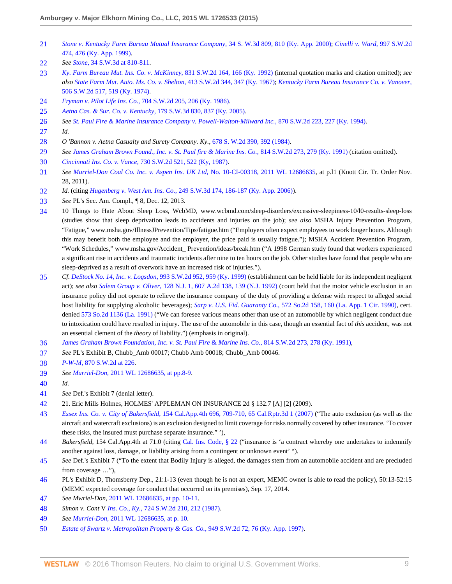- <span id="page-8-0"></span>[21](#page-3-2) *[Stone v. Kentucky Farm Bureau Mutual Insurance Company](http://www.westlaw.com/Link/Document/FullText?findType=Y&serNum=2000447769&pubNum=0004644&originatingDoc=I000708f0e45d11e4815bfad867ab3d62&refType=RP&fi=co_pp_sp_4644_810&originationContext=document&vr=3.0&rs=cblt1.0&transitionType=DocumentItem&contextData=(sc.Keycite)#co_pp_sp_4644_810)*, 34 S. W.3d 809, 810 (Ky. App. 2000); *[Cinelli v. Ward](http://www.westlaw.com/Link/Document/FullText?findType=Y&serNum=1999028901&pubNum=0000713&originatingDoc=I000708f0e45d11e4815bfad867ab3d62&refType=RP&fi=co_pp_sp_713_476&originationContext=document&vr=3.0&rs=cblt1.0&transitionType=DocumentItem&contextData=(sc.Keycite)#co_pp_sp_713_476)*, 997 S.W.2d [474, 476 \(Ky. App. 1999\)](http://www.westlaw.com/Link/Document/FullText?findType=Y&serNum=1999028901&pubNum=0000713&originatingDoc=I000708f0e45d11e4815bfad867ab3d62&refType=RP&fi=co_pp_sp_713_476&originationContext=document&vr=3.0&rs=cblt1.0&transitionType=DocumentItem&contextData=(sc.Keycite)#co_pp_sp_713_476).
- <span id="page-8-1"></span>[22](#page-3-3) *See Stone*[, 34 S.W.3d at 810-811](http://www.westlaw.com/Link/Document/FullText?findType=Y&serNum=2000447769&pubNum=0004644&originatingDoc=I000708f0e45d11e4815bfad867ab3d62&refType=RP&fi=co_pp_sp_4644_810&originationContext=document&vr=3.0&rs=cblt1.0&transitionType=DocumentItem&contextData=(sc.Keycite)#co_pp_sp_4644_810).
- <span id="page-8-2"></span>[23](#page-3-4) *[Ky. Farm Bureau Mut. Ins. Co. v. McKinney](http://www.westlaw.com/Link/Document/FullText?findType=Y&serNum=1992092036&pubNum=0000713&originatingDoc=I000708f0e45d11e4815bfad867ab3d62&refType=RP&fi=co_pp_sp_713_166&originationContext=document&vr=3.0&rs=cblt1.0&transitionType=DocumentItem&contextData=(sc.Keycite)#co_pp_sp_713_166)*, 831 S.W.2d 164, 166 (Ky. 1992) (internal quotation marks and citation omitted); *see also [State Farm Mut. Auto. Ms. Co. v. Shelton](http://www.westlaw.com/Link/Document/FullText?findType=Y&serNum=1967132030&pubNum=0000713&originatingDoc=I000708f0e45d11e4815bfad867ab3d62&refType=RP&fi=co_pp_sp_713_347&originationContext=document&vr=3.0&rs=cblt1.0&transitionType=DocumentItem&contextData=(sc.Keycite)#co_pp_sp_713_347)*, 413 S.W.2d 344, 347 (Ky. 1967); *[Kentucky Farm Bureau Insurance Co. v. Vanover](http://www.westlaw.com/Link/Document/FullText?findType=Y&serNum=1974130692&pubNum=0000713&originatingDoc=I000708f0e45d11e4815bfad867ab3d62&refType=RP&fi=co_pp_sp_713_519&originationContext=document&vr=3.0&rs=cblt1.0&transitionType=DocumentItem&contextData=(sc.Keycite)#co_pp_sp_713_519)*, [506 S.W.2d 517, 519 \(Ky. 1974\)](http://www.westlaw.com/Link/Document/FullText?findType=Y&serNum=1974130692&pubNum=0000713&originatingDoc=I000708f0e45d11e4815bfad867ab3d62&refType=RP&fi=co_pp_sp_713_519&originationContext=document&vr=3.0&rs=cblt1.0&transitionType=DocumentItem&contextData=(sc.Keycite)#co_pp_sp_713_519).
- <span id="page-8-3"></span>[24](#page-3-5) *Fryman v. Pilot Life Ins. Co.*[, 704 S.W.2d 205, 206 \(Ky. 1986\)](http://www.westlaw.com/Link/Document/FullText?findType=Y&serNum=1986108242&pubNum=0000713&originatingDoc=I000708f0e45d11e4815bfad867ab3d62&refType=RP&fi=co_pp_sp_713_206&originationContext=document&vr=3.0&rs=cblt1.0&transitionType=DocumentItem&contextData=(sc.Keycite)#co_pp_sp_713_206).
- <span id="page-8-4"></span>[25](#page-3-6) *[Aetna Cas. & Sur. Co. v. Kentucky](http://www.westlaw.com/Link/Document/FullText?findType=Y&serNum=2007356464&pubNum=0004644&originatingDoc=I000708f0e45d11e4815bfad867ab3d62&refType=RP&fi=co_pp_sp_4644_837&originationContext=document&vr=3.0&rs=cblt1.0&transitionType=DocumentItem&contextData=(sc.Keycite)#co_pp_sp_4644_837)*, 179 S.W.3d 830, 837 (Ky. 2005).
- <span id="page-8-5"></span>[26](#page-3-7) *See [St. Paul Fire & Marine Insurance Company v. Powell-Walton-Milward Inc.](http://www.westlaw.com/Link/Document/FullText?findType=Y&serNum=1994036514&pubNum=0000713&originatingDoc=I000708f0e45d11e4815bfad867ab3d62&refType=RP&fi=co_pp_sp_713_227&originationContext=document&vr=3.0&rs=cblt1.0&transitionType=DocumentItem&contextData=(sc.Keycite)#co_pp_sp_713_227)*, 870 S.W.2d 223, 227 (Ky. 1994).
- <span id="page-8-6"></span>[27](#page-3-8) *Id.*
- <span id="page-8-7"></span>[28](#page-3-9) *O 'Bannon v. Aetna Casualty and Surety Company. Ky.*, [678 S. W.2d 390, 392 \(1984\).](http://www.westlaw.com/Link/Document/FullText?findType=Y&serNum=1984151279&pubNum=0000713&originatingDoc=I000708f0e45d11e4815bfad867ab3d62&refType=RP&fi=co_pp_sp_713_392&originationContext=document&vr=3.0&rs=cblt1.0&transitionType=DocumentItem&contextData=(sc.Keycite)#co_pp_sp_713_392)
- <span id="page-8-8"></span>[29](#page-3-10) *See [James Graham Brown Found., Inc. v. St. Paul fire & Marine Ins. Co.](http://www.westlaw.com/Link/Document/FullText?findType=Y&serNum=1991120089&pubNum=0000713&originatingDoc=I000708f0e45d11e4815bfad867ab3d62&refType=RP&fi=co_pp_sp_713_279&originationContext=document&vr=3.0&rs=cblt1.0&transitionType=DocumentItem&contextData=(sc.Keycite)#co_pp_sp_713_279)*, 814 S.W.2d 273, 279 (Ky. 1991) (citation omitted).
- <span id="page-8-9"></span>[30](#page-3-11) *Cincinnati Ins. Co. v. Vance*[, 730 S.W.2d 521, 522 \(Ky, 1987\)](http://www.westlaw.com/Link/Document/FullText?findType=Y&serNum=1987064643&pubNum=0000713&originatingDoc=I000708f0e45d11e4815bfad867ab3d62&refType=RP&fi=co_pp_sp_713_522&originationContext=document&vr=3.0&rs=cblt1.0&transitionType=DocumentItem&contextData=(sc.Keycite)#co_pp_sp_713_522).
- <span id="page-8-10"></span>[31](#page-4-0) *See [Murriel-Don Coal Co. Inc. v. Aspen Ins. UK Ltd](http://www.westlaw.com/Link/Document/FullText?findType=Y&serNum=2035706622&pubNum=0000999&originatingDoc=I000708f0e45d11e4815bfad867ab3d62&refType=RP&originationContext=document&vr=3.0&rs=cblt1.0&transitionType=DocumentItem&contextData=(sc.Keycite))*, No. 10-CI-00318, 2011 WL 12686635, at p.l1 (Knott Cir. Tr. Order Nov. 28, 2011).
- <span id="page-8-11"></span>[32](#page-4-1) *Id.* (citing *Hugenberg v. West Am. Ins. Co.*[, 249 S.W.3d 174, 186-187 \(Ky. App. 2006\)\)](http://www.westlaw.com/Link/Document/FullText?findType=Y&serNum=2008878535&pubNum=0004644&originatingDoc=I000708f0e45d11e4815bfad867ab3d62&refType=RP&fi=co_pp_sp_4644_186&originationContext=document&vr=3.0&rs=cblt1.0&transitionType=DocumentItem&contextData=(sc.Keycite)#co_pp_sp_4644_186).
- <span id="page-8-12"></span>[33](#page-4-2) *See* PL's Sec. Am. Compl., ¶ 8, Dec. 12, 2013.
- <span id="page-8-13"></span>[34](#page-4-3) 10 Things to Hate About Sleep Loss, WcbMD, www.wcbmd.com/sleep-disorders/excessive-sleepiness-10/l0-results-sleep-loss (studies show that sleep deprivation leads to accidents and injuries on the job); *see also* MSHA Injury Prevention Program, "Fatigue," www.msha.gov/IllnessJPrevention/Tips/fatigue.htm ("Employers often expect employees to work longer hours. Although this may benefit both the employee and the employer, the price paid is usually fatigue."); MSHA Accident Prevention Program, "Work Schedules," www.msha.gov/Accident\_ Prevention/ideas/break.htm ("A 1998 German study found that workers experienced a significant rise in accidents and traumatic incidents after nine to ten hours on the job. Other studies have found that people who are sleep-deprived as a result of overwork have an increased risk of injuries.").
- <span id="page-8-14"></span>[35](#page-4-4) *Cf. DeStock No. 14, Inc. v. Logsdon*[, 993 S.W.2d 952, 959 \(Ky. 1999\)](http://www.westlaw.com/Link/Document/FullText?findType=Y&serNum=1999145231&pubNum=0000713&originatingDoc=I000708f0e45d11e4815bfad867ab3d62&refType=RP&fi=co_pp_sp_713_959&originationContext=document&vr=3.0&rs=cblt1.0&transitionType=DocumentItem&contextData=(sc.Keycite)#co_pp_sp_713_959) (establishment can be held liable for its independent negligent act); *see also Salem Group v. Oliver*[, 128 N.J. 1, 607 A.2d 138, 139 \(N.J. 1992\)](http://www.westlaw.com/Link/Document/FullText?findType=Y&serNum=1992102361&pubNum=0000162&originatingDoc=I000708f0e45d11e4815bfad867ab3d62&refType=RP&fi=co_pp_sp_162_139&originationContext=document&vr=3.0&rs=cblt1.0&transitionType=DocumentItem&contextData=(sc.Keycite)#co_pp_sp_162_139) (court held that the motor vehicle exclusion in an insurance policy did not operate to relieve the insurance company of the duty of providing a defense with respect to alleged social host liability for supplying alcoholic beverages); *Sarp v. U.S. Fid. Guaranty Co.*[, 572 So.2d 158, 160 \(La. App. 1 Cir. 1990\)](http://www.westlaw.com/Link/Document/FullText?findType=Y&serNum=1990166135&pubNum=0000735&originatingDoc=I000708f0e45d11e4815bfad867ab3d62&refType=RP&fi=co_pp_sp_735_160&originationContext=document&vr=3.0&rs=cblt1.0&transitionType=DocumentItem&contextData=(sc.Keycite)#co_pp_sp_735_160), cert. denied [573 So.2d 1136 \(La. 1991\)](http://www.westlaw.com/Link/Document/FullText?findType=Y&serNum=1991032084&pubNum=0000735&originatingDoc=I000708f0e45d11e4815bfad867ab3d62&refType=RP&originationContext=document&vr=3.0&rs=cblt1.0&transitionType=DocumentItem&contextData=(sc.Keycite)) ("We can foresee various means other than use of an automobile by which negligent conduct due to intoxication could have resulted in injury. The use of the automobile in this case, though an essential fact of *this* accident, was not an essential clement of the *theory* of liability.") (emphasis in original).
- <span id="page-8-15"></span>[36](#page-4-5) *[James Graham Brown Foundation, Inc. v. St. Paul Fire](http://www.westlaw.com/Link/Document/FullText?findType=Y&serNum=1991120089&pubNum=0000713&originatingDoc=I000708f0e45d11e4815bfad867ab3d62&refType=RP&fi=co_pp_sp_713_278&originationContext=document&vr=3.0&rs=cblt1.0&transitionType=DocumentItem&contextData=(sc.Keycite)#co_pp_sp_713_278)* & *Marine Ins. Co.*, 814 S.W.2d 273, 278 (Ky. 1991),
- <span id="page-8-16"></span>[37](#page-4-6) *See* PL's Exhibit B, Chubb\_Amb 00017; Chubb Amb 00018; Chubb\_Amb 00046.
- <span id="page-8-17"></span>[38](#page-4-7) *P-W-M*[, 870 S.W.2d at 226](http://www.westlaw.com/Link/Document/FullText?findType=Y&serNum=1994036514&pubNum=0000713&originatingDoc=I000708f0e45d11e4815bfad867ab3d62&refType=RP&fi=co_pp_sp_713_226&originationContext=document&vr=3.0&rs=cblt1.0&transitionType=DocumentItem&contextData=(sc.Keycite)#co_pp_sp_713_226).
- <span id="page-8-18"></span>[39](#page-4-8) *See Murriel-Don*[, 2011 WL 12686635, at pp.8-9.](http://www.westlaw.com/Link/Document/FullText?findType=Y&serNum=2035706622&pubNum=0000999&originatingDoc=I000708f0e45d11e4815bfad867ab3d62&refType=RP&originationContext=document&vr=3.0&rs=cblt1.0&transitionType=DocumentItem&contextData=(sc.Keycite))
- <span id="page-8-19"></span>[40](#page-4-9) *Id.*
- <span id="page-8-20"></span>[41](#page-4-10) *See* Def.'s Exhibit 7 (denial letter).
- <span id="page-8-21"></span>[42](#page-4-11) 21. Eric Mills Holmes, HOLMES' APPLEMAN ON INSURANCE 2d § 132.7 [A] [2] (2009).
- <span id="page-8-22"></span>[43](#page-4-12) *Essex Ins. Co. v. City of Bakersfield*[, 154 Cal.App.4th 696, 709-710, 65 Cal.Rptr.3d 1 \(2007\)](http://www.westlaw.com/Link/Document/FullText?findType=Y&serNum=2012832138&pubNum=0007047&originatingDoc=I000708f0e45d11e4815bfad867ab3d62&refType=RP&originationContext=document&vr=3.0&rs=cblt1.0&transitionType=DocumentItem&contextData=(sc.Keycite)) ("The auto exclusion (as well as the aircraft and watercraft exclusions) is an exclusion designed to limit coverage for risks normally covered by other insurance. 'To cover these risks, the insured must purchase separate insurance." '),
- <span id="page-8-23"></span>[44](#page-4-13) *Bakersfield*, 154 Cal.App.4th at 71.0 (citing [Cal. Ins. Code, § 22](http://www.westlaw.com/Link/Document/FullText?findType=L&pubNum=1000214&cite=CAINS22&originatingDoc=I000708f0e45d11e4815bfad867ab3d62&refType=LQ&originationContext=document&vr=3.0&rs=cblt1.0&transitionType=DocumentItem&contextData=(sc.Keycite)) ("insurance is 'a contract whereby one undertakes to indemnify another against loss, damage, or liability arising from a contingent or unknown event' ").
- <span id="page-8-24"></span>[45](#page-4-14) *See* Def.'s Exhibit 7 ("To the extent that Bodily Injury is alleged, the damages stem from an automobile accident and are precluded from coverage …"),
- <span id="page-8-25"></span>[46](#page-5-0) PL's Exhibit D, Thomsberry Dep., 21:1-13 (even though he is not an expert, MEMC owner is able to read the policy), 50:13-52:15 (MEMC expected coverage for conduct that occurred on its premises), Sep. 17, 2014.
- <span id="page-8-26"></span>[47](#page-5-1) *See Mwriel-Don*, [2011 WL 12686635, at pp. 10-11.](http://www.westlaw.com/Link/Document/FullText?findType=Y&serNum=2035706622&pubNum=0000999&originatingDoc=I000708f0e45d11e4815bfad867ab3d62&refType=RP&originationContext=document&vr=3.0&rs=cblt1.0&transitionType=DocumentItem&contextData=(sc.Keycite))
- <span id="page-8-27"></span>[48](#page-5-2) *Simon v. Cont* V *Ins. Co., Ky.*[, 724 S.W.2d 210, 212 \(1987\).](http://www.westlaw.com/Link/Document/FullText?findType=Y&serNum=1987002220&pubNum=0000713&originatingDoc=I000708f0e45d11e4815bfad867ab3d62&refType=RP&fi=co_pp_sp_713_212&originationContext=document&vr=3.0&rs=cblt1.0&transitionType=DocumentItem&contextData=(sc.Keycite)#co_pp_sp_713_212)
- <span id="page-8-28"></span>[49](#page-5-3) *See Murriel-Don*[, 2011 WL 12686635, at p. 10](http://www.westlaw.com/Link/Document/FullText?findType=Y&serNum=2035706622&pubNum=0000999&originatingDoc=I000708f0e45d11e4815bfad867ab3d62&refType=RP&originationContext=document&vr=3.0&rs=cblt1.0&transitionType=DocumentItem&contextData=(sc.Keycite)).
- <span id="page-8-29"></span>[50](#page-5-4) *[Estate of Swartz v. Metropolitan Property & Cas. Co.](http://www.westlaw.com/Link/Document/FullText?findType=Y&serNum=1997161956&pubNum=0000713&originatingDoc=I000708f0e45d11e4815bfad867ab3d62&refType=RP&fi=co_pp_sp_713_76&originationContext=document&vr=3.0&rs=cblt1.0&transitionType=DocumentItem&contextData=(sc.Keycite)#co_pp_sp_713_76)*, 949 S.W.2d 72, 76 (Ky. App. 1997).